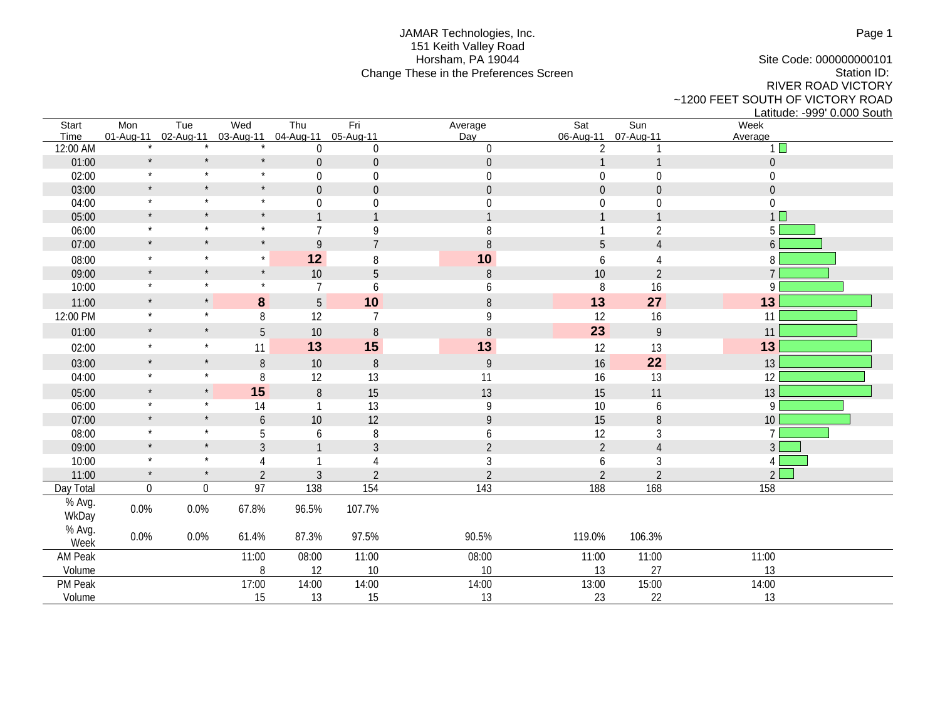## JAMAR Technologies, Inc. 151 Keith Valley Road Horsham, PA 19044 Change These in the Preferences Screen

Site Code: 000000000101 Station ID: RIVER ROAD VICTORY ~1200 FEET SOUTH OF VICTORY ROAD Latitude: -999' 0.000 South

| Start<br>Time   | Mon<br>01-Aug-11 | Tue<br>02-Aug-11 | Wed<br>03-Aug-11 | Thu<br>04-Aug-11 | Fri<br>05-Aug-11 | Average<br>Day   | Sat<br>06-Aug-11 | Sun<br>07-Aug-11                                                                                                                                                                                                                                                                                                                                                                                                                        | Week<br>Average  |
|-----------------|------------------|------------------|------------------|------------------|------------------|------------------|------------------|-----------------------------------------------------------------------------------------------------------------------------------------------------------------------------------------------------------------------------------------------------------------------------------------------------------------------------------------------------------------------------------------------------------------------------------------|------------------|
| 12:00 AM        |                  |                  |                  | $\boldsymbol{0}$ | $\boldsymbol{0}$ | $\boldsymbol{0}$ | $\overline{2}$   |                                                                                                                                                                                                                                                                                                                                                                                                                                         | $1\Box$          |
| 01:00           | $\star$          | $\star$          | $\star$          | $\boldsymbol{0}$ | $\boldsymbol{0}$ | $\boldsymbol{0}$ |                  | $\mathbf{1}$                                                                                                                                                                                                                                                                                                                                                                                                                            | $\boldsymbol{0}$ |
| 02:00           | $\star$          | $\star$          | $\star$          | $\boldsymbol{0}$ | $\boldsymbol{0}$ | $\boldsymbol{0}$ | $\boldsymbol{0}$ | $\boldsymbol{0}$                                                                                                                                                                                                                                                                                                                                                                                                                        | $\boldsymbol{0}$ |
| 03:00           | $\star$          | $\star$          | $\star$          | $\mathbf 0$      | $\overline{0}$   | $\overline{0}$   | $\mathbf 0$      | $\mathbf 0$                                                                                                                                                                                                                                                                                                                                                                                                                             | $\boldsymbol{0}$ |
| 04:00           | $\star$          | $\star$          | $\star$          | $\boldsymbol{0}$ | $\boldsymbol{0}$ | 0                | $\boldsymbol{0}$ | $\boldsymbol{0}$                                                                                                                                                                                                                                                                                                                                                                                                                        | $\boldsymbol{0}$ |
| 05:00           | $\star$          | $\star$          | $\star$          | $\mathbf{1}$     | $\mathbf{1}$     | $\mathbf{1}$     | 1                | 1                                                                                                                                                                                                                                                                                                                                                                                                                                       | 1 <sup>1</sup>   |
| 06:00           | $\star$          | $\star$          | $\star$          | $\overline{7}$   | 9                | 8                |                  | $\overline{2}$                                                                                                                                                                                                                                                                                                                                                                                                                          | 5 <sup>1</sup>   |
| 07:00           | $\star$          | $\star$          | $\star$          | 9                | $\overline{7}$   | $\, 8$           | 5                | $\overline{4}$                                                                                                                                                                                                                                                                                                                                                                                                                          | 6                |
| 08:00           | $\star$          | $\star$          | $\star$          | 12               | 8                | 10               | 6                | 4                                                                                                                                                                                                                                                                                                                                                                                                                                       | 8                |
| 09:00           | $\star$          | $\star$          | $\star$          | 10               | 5                | $\, 8$           | 10               | $\overline{2}$                                                                                                                                                                                                                                                                                                                                                                                                                          | $\overline{7}$   |
| 10:00           | $\star$          | $\star$          | $\star$          | $\overline{7}$   | 6                | 6                | 8                | 16                                                                                                                                                                                                                                                                                                                                                                                                                                      | 9                |
| 11:00           | $\star$          | $\star$          | 8                | $5\phantom{.}$   | 10               | $8\,$            | 13               | 27                                                                                                                                                                                                                                                                                                                                                                                                                                      | 13               |
| 12:00 PM        | $\star$          | $\star$          | 8                | 12               | $\overline{7}$   | 9                | 12               | 16                                                                                                                                                                                                                                                                                                                                                                                                                                      | 11               |
| 01:00           | $\star$          | $\star$          | $\overline{5}$   | 10               | $8\,$            | $\, 8$           | 23               | $\mathsf{g}% _{T}=\mathsf{g}_{T}(\mathsf{g})=\mathsf{g}_{T}(\mathsf{g})=\mathsf{g}_{T}(\mathsf{g})=\mathsf{g}_{T}(\mathsf{g})=\mathsf{g}_{T}(\mathsf{g})=\mathsf{g}_{T}(\mathsf{g})=\mathsf{g}_{T}(\mathsf{g})=\mathsf{g}_{T}(\mathsf{g})=\mathsf{g}_{T}(\mathsf{g})=\mathsf{g}_{T}(\mathsf{g})=\mathsf{g}_{T}(\mathsf{g})=\mathsf{g}_{T}(\mathsf{g})=\mathsf{g}_{T}(\mathsf{g})=\mathsf{g}_{T}(\mathsf{g})=\mathsf{g}_{T}(\mathsf{g})$ | 11               |
| 02:00           | $\star$          | $\star$          | 11               | 13               | 15               | 13               | 12               | 13                                                                                                                                                                                                                                                                                                                                                                                                                                      | 13               |
| 03:00           | $\star$          | $\star$          | $\, 8$           | 10               | $\, 8$           | $\overline{9}$   | 16               | 22                                                                                                                                                                                                                                                                                                                                                                                                                                      | 13               |
| 04:00           | $\star$          | $\star$          | 8                | 12               | 13               | 11               | 16               | 13                                                                                                                                                                                                                                                                                                                                                                                                                                      | 12               |
| 05:00           | $\star$          | $\star$          | 15               | $\, 8$           | 15               | 13               | 15               | 11                                                                                                                                                                                                                                                                                                                                                                                                                                      | 13               |
| 06:00           | $\star$          | $\star$          | 14               | 1                | 13               | 9                | $10\,$           | 6                                                                                                                                                                                                                                                                                                                                                                                                                                       | 9                |
| 07:00           | $\star$          | $\star$          | 6                | 10               | 12               | 9                | 15               | $\, 8$                                                                                                                                                                                                                                                                                                                                                                                                                                  | 10               |
| 08:00           | $\star$          | $\star$          | 5                | 6                | 8                | 6                | 12               | 3                                                                                                                                                                                                                                                                                                                                                                                                                                       | $\overline{7}$   |
| 09:00           | $\star$          | $\star$          | $\mathfrak{Z}$   | $\mathbf{1}$     | 3                | $\overline{2}$   | $\overline{2}$   | $\overline{4}$                                                                                                                                                                                                                                                                                                                                                                                                                          | 3                |
| 10:00           | $\star$          | $\star$          |                  | $\mathbf{1}$     |                  | $\sqrt{3}$       | 6                | 3                                                                                                                                                                                                                                                                                                                                                                                                                                       | 4 <sup>1</sup>   |
| 11:00           | $\star$          | $\star$          | $\overline{2}$   | $\overline{3}$   | $\overline{2}$   | $\overline{2}$   | $\overline{2}$   | $\overline{2}$                                                                                                                                                                                                                                                                                                                                                                                                                          | $2\square$       |
| Day Total       | $\boldsymbol{0}$ | $\boldsymbol{0}$ | $\overline{97}$  | 138              | 154              | 143              | 188              | 168                                                                                                                                                                                                                                                                                                                                                                                                                                     | 158              |
| % Avg.<br>WkDay | 0.0%             | 0.0%             | 67.8%            | 96.5%            | 107.7%           |                  |                  |                                                                                                                                                                                                                                                                                                                                                                                                                                         |                  |
| % Avg.<br>Week  | $0.0\%$          | 0.0%             | 61.4%            | 87.3%            | 97.5%            | 90.5%            | 119.0%           | 106.3%                                                                                                                                                                                                                                                                                                                                                                                                                                  |                  |
| AM Peak         |                  |                  | 11:00            | 08:00            | 11:00            | 08:00            | 11:00            | 11:00                                                                                                                                                                                                                                                                                                                                                                                                                                   | 11:00            |
| Volume          |                  |                  | 8                | 12               | 10               | 10               | 13               | 27                                                                                                                                                                                                                                                                                                                                                                                                                                      | 13               |
| PM Peak         |                  |                  | 17:00            | 14:00            | 14:00            | 14:00            | 13:00            | 15:00                                                                                                                                                                                                                                                                                                                                                                                                                                   | 14:00            |
| Volume          |                  |                  | 15               | 13               | 15               | 13               | 23               | 22                                                                                                                                                                                                                                                                                                                                                                                                                                      | 13               |

Page 1